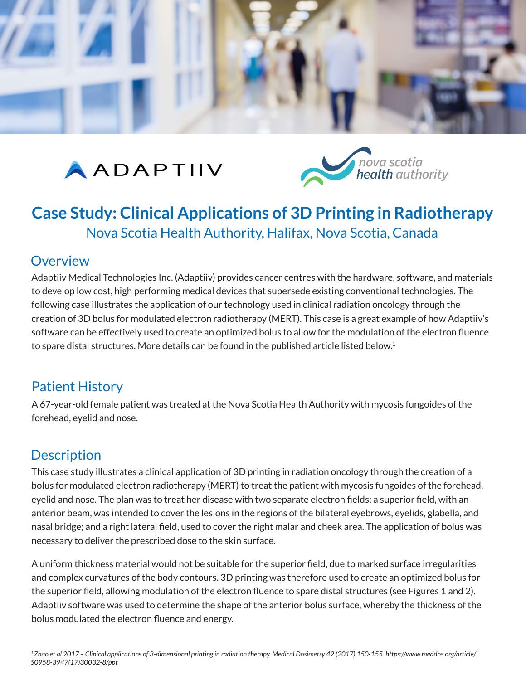

# AADAPTIIV



## **Case Study: Clinical Applications of 3D Printing in Radiotherapy**  Nova Scotia Health Authority, Halifax, Nova Scotia, Canada

#### **Overview**

Adaptiiv Medical Technologies Inc. (Adaptiiv) provides cancer centres with the hardware, software, and materials to develop low cost, high performing medical devices that supersede existing conventional technologies. The following case illustrates the application of our technology used in clinical radiation oncology through the creation of 3D bolus for modulated electron radiotherapy (MERT). This case is a great example of how Adaptiiv's software can be effectively used to create an optimized bolus to allow for the modulation of the electron fluence to spare distal structures. More details can be found in the published article listed below.<sup>1</sup>

## Patient History

A 67-year-old female patient was treated at the Nova Scotia Health Authority with mycosis fungoides of the forehead, eyelid and nose.

## Description

This case study illustrates a clinical application of 3D printing in radiation oncology through the creation of a bolus for modulated electron radiotherapy (MERT) to treat the patient with mycosis fungoides of the forehead, eyelid and nose. The plan was to treat her disease with two separate electron fields: a superior field, with an anterior beam, was intended to cover the lesions in the regions of the bilateral eyebrows, eyelids, glabella, and nasal bridge; and a right lateral field, used to cover the right malar and cheek area. The application of bolus was necessary to deliver the prescribed dose to the skin surface.

A uniform thickness material would not be suitable for the superior field, due to marked surface irregularities and complex curvatures of the body contours. 3D printing was therefore used to create an optimized bolus for the superior field, allowing modulation of the electron fluence to spare distal structures (see Figures 1 and 2). Adaptiiv software was used to determine the shape of the anterior bolus surface, whereby the thickness of the bolus modulated the electron fluence and energy.